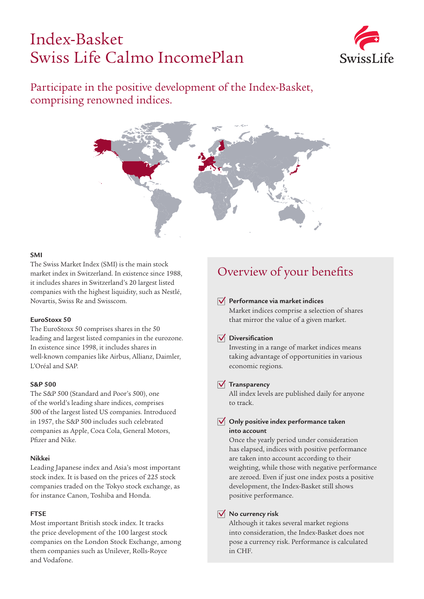# Index-Basket Swiss Life Calmo IncomePlan



### Participate in the positive development of the Index-Basket, comprising renowned indices.



#### **SMI**

The Swiss Market Index (SMI) is the main stock market index in Switzerland. In existence since 1988, it includes shares in Switzerland's 20 largest listed companies with the highest liquidity, such as Nestlé, Novartis, Swiss Re and Swisscom.

#### **EuroStoxx 50**

The EuroStoxx 50 comprises shares in the 50 leading and largest listed companies in the eurozone. In existence since 1998, it includes shares in well-known companies like Airbus, Allianz, Daimler, L'Oréal and SAP.

#### **S&P 500**

The S&P 500 (Standard and Poor's 500), one of the world's leading share indices, comprises 500 of the largest listed US companies. Introduced in 1957, the S&P 500 includes such celebrated companies as Apple, Coca Cola, General Motors, Pfizer and Nike.

#### **Nikkei**

Leading Japanese index and Asia's most important stock index. It is based on the prices of 225 stock companies traded on the Tokyo stock exchange, as for instance Canon, Toshiba and Honda.

#### **FTSE**

Most important British stock index. It tracks the price development of the 100 largest stock companies on the London Stock Exchange, among them companies such as Unilever, Rolls-Royce and Vodafone.

### Overview of your benefits

#### **Performance via market indices**

Market indices comprise a selection of shares that mirror the value of a given market.

#### **Diversification**

Investing in a range of market indices means taking advantage of opportunities in various economic regions.

#### **Transparency**

All index levels are published daily for anyone to track.

#### **Only positive index performance taken into account**

Once the yearly period under consideration has elapsed, indices with positive performance are taken into account according to their weighting, while those with negative performance are zeroed. Even if just one index posts a positive development, the Index-Basket still shows positive performance.

#### **No currency risk**

Although it takes several market regions into consideration, the Index-Basket does not pose a currency risk. Performance is calculated in CHF.